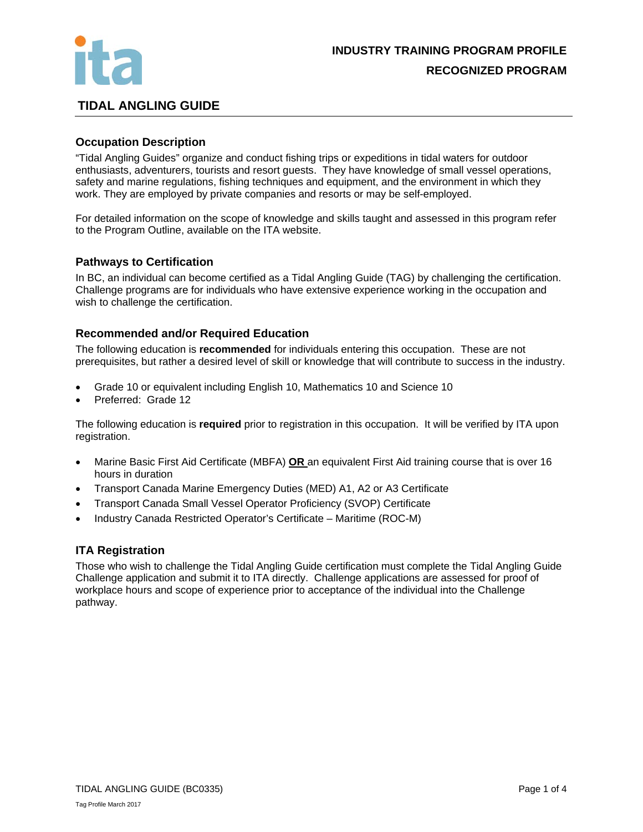

# **TIDAL ANGLING GUIDE**

## **Occupation Description**

"Tidal Angling Guides" organize and conduct fishing trips or expeditions in tidal waters for outdoor enthusiasts, adventurers, tourists and resort guests. They have knowledge of small vessel operations, safety and marine regulations, fishing techniques and equipment, and the environment in which they work. They are employed by private companies and resorts or may be self-employed.

For detailed information on the scope of knowledge and skills taught and assessed in this program refer to the Program Outline, available on the ITA website.

#### **Pathways to Certification**

In BC, an individual can become certified as a Tidal Angling Guide (TAG) by challenging the certification. Challenge programs are for individuals who have extensive experience working in the occupation and wish to challenge the certification.

#### **Recommended and/or Required Education**

The following education is **recommended** for individuals entering this occupation. These are not prerequisites, but rather a desired level of skill or knowledge that will contribute to success in the industry.

- Grade 10 or equivalent including English 10, Mathematics 10 and Science 10
- Preferred: Grade 12

The following education is **required** prior to registration in this occupation. It will be verified by ITA upon registration.

- Marine Basic First Aid Certificate (MBFA) **OR** an equivalent First Aid training course that is over 16 hours in duration
- Transport Canada Marine Emergency Duties (MED) A1, A2 or A3 Certificate
- Transport Canada Small Vessel Operator Proficiency (SVOP) Certificate
- Industry Canada Restricted Operator's Certificate Maritime (ROC-M)

#### **ITA Registration**

Those who wish to challenge the Tidal Angling Guide certification must complete the Tidal Angling Guide Challenge application and submit it to ITA directly. Challenge applications are assessed for proof of workplace hours and scope of experience prior to acceptance of the individual into the Challenge pathway.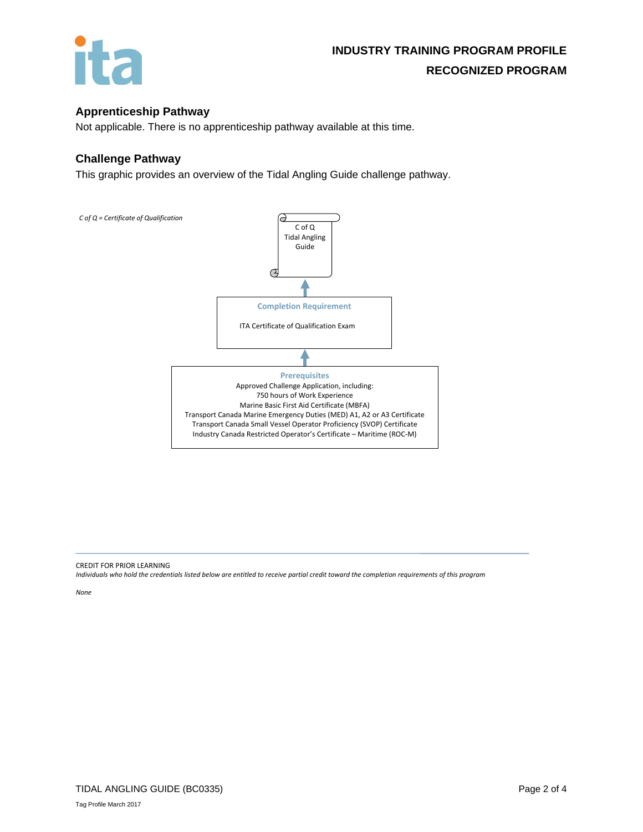

# **Apprenticeship Pathway**

Not applicable. There is no apprenticeship pathway available at this time.

#### **Challenge Pathway**

This graphic provides an overview of the Tidal Angling Guide challenge pathway.



CREDIT FOR PRIOR LEARNING

*Individuals who hold the credentials listed below are entitled to receive partial credit toward the completion requirements of this program*

*None*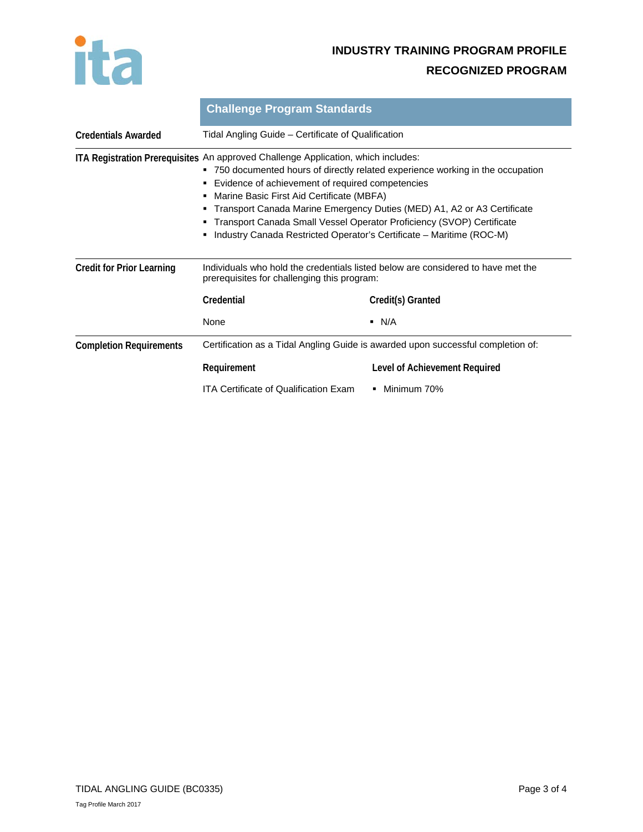

# **INDUSTRY TRAINING PROGRAM PROFILE RECOGNIZED PROGRAM**

|                                  | <b>Challenge Program Standards</b><br>Tidal Angling Guide - Certificate of Qualification                                                                                                                                                                                                                                                                                                                                                                                                                                      |                               |
|----------------------------------|-------------------------------------------------------------------------------------------------------------------------------------------------------------------------------------------------------------------------------------------------------------------------------------------------------------------------------------------------------------------------------------------------------------------------------------------------------------------------------------------------------------------------------|-------------------------------|
| <b>Credentials Awarded</b>       |                                                                                                                                                                                                                                                                                                                                                                                                                                                                                                                               |                               |
|                                  | ITA Registration Prerequisites An approved Challenge Application, which includes:<br>750 documented hours of directly related experience working in the occupation<br>٠<br>Evidence of achievement of required competencies<br>٠<br>Marine Basic First Aid Certificate (MBFA)<br>٠<br>Transport Canada Marine Emergency Duties (MED) A1, A2 or A3 Certificate<br>٠<br>Transport Canada Small Vessel Operator Proficiency (SVOP) Certificate<br>٠<br>Industry Canada Restricted Operator's Certificate - Maritime (ROC-M)<br>٠ |                               |
| <b>Credit for Prior Learning</b> | Individuals who hold the credentials listed below are considered to have met the<br>prerequisites for challenging this program:                                                                                                                                                                                                                                                                                                                                                                                               |                               |
|                                  | Credential                                                                                                                                                                                                                                                                                                                                                                                                                                                                                                                    | Credit(s) Granted             |
|                                  | None                                                                                                                                                                                                                                                                                                                                                                                                                                                                                                                          | $\blacksquare$ N/A            |
| <b>Completion Requirements</b>   | Certification as a Tidal Angling Guide is awarded upon successful completion of:                                                                                                                                                                                                                                                                                                                                                                                                                                              |                               |
|                                  | Requirement                                                                                                                                                                                                                                                                                                                                                                                                                                                                                                                   | Level of Achievement Required |
|                                  | <b>ITA Certificate of Qualification Exam</b>                                                                                                                                                                                                                                                                                                                                                                                                                                                                                  | Minimum 70%                   |